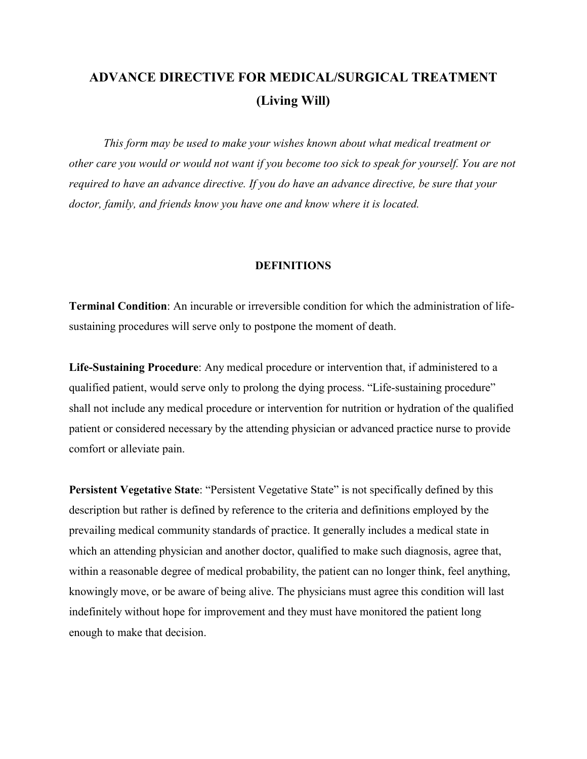# **ADVANCE DIRECTIVE FOR MEDICAL/SURGICAL TREATMENT (Living Will)**

*This form may be used to make your wishes known about what medical treatment or other care you would or would not want if you become too sick to speak for yourself. You are not required to have an advance directive. If you do have an advance directive, be sure that your doctor, family, and friends know you have one and know where it is located.*

## **DEFINITIONS**

**Terminal Condition**: An incurable or irreversible condition for which the administration of lifesustaining procedures will serve only to postpone the moment of death.

**Life-Sustaining Procedure**: Any medical procedure or intervention that, if administered to a qualified patient, would serve only to prolong the dying process. "Life-sustaining procedure" shall not include any medical procedure or intervention for nutrition or hydration of the qualified patient or considered necessary by the attending physician or advanced practice nurse to provide comfort or alleviate pain.

**Persistent Vegetative State**: "Persistent Vegetative State" is not specifically defined by this description but rather is defined by reference to the criteria and definitions employed by the prevailing medical community standards of practice. It generally includes a medical state in which an attending physician and another doctor, qualified to make such diagnosis, agree that, within a reasonable degree of medical probability, the patient can no longer think, feel anything, knowingly move, or be aware of being alive. The physicians must agree this condition will last indefinitely without hope for improvement and they must have monitored the patient long enough to make that decision.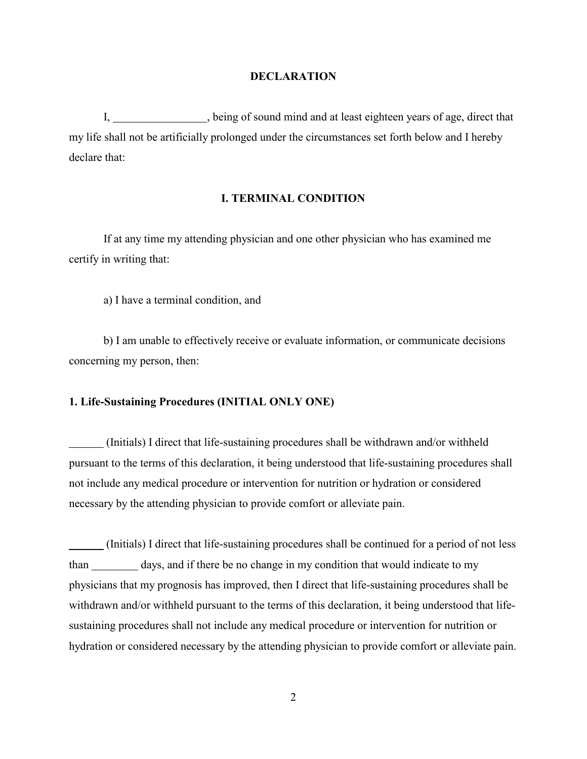## **DECLARATION**

I, being of sound mind and at least eighteen years of age, direct that my life shall not be artificially prolonged under the circumstances set forth below and I hereby declare that:

## **I. TERMINAL CONDITION**

If at any time my attending physician and one other physician who has examined me certify in writing that:

a) I have a terminal condition, and

b) I am unable to effectively receive or evaluate information, or communicate decisions concerning my person, then:

## **1. Life-Sustaining Procedures (INITIAL ONLY ONE)**

 (Initials) I direct that life-sustaining procedures shall be withdrawn and/or withheld pursuant to the terms of this declaration, it being understood that life-sustaining procedures shall not include any medical procedure or intervention for nutrition or hydration or considered necessary by the attending physician to provide comfort or alleviate pain.

 (Initials) I direct that life-sustaining procedures shall be continued for a period of not less than days, and if there be no change in my condition that would indicate to my physicians that my prognosis has improved, then I direct that life-sustaining procedures shall be withdrawn and/or withheld pursuant to the terms of this declaration, it being understood that lifesustaining procedures shall not include any medical procedure or intervention for nutrition or hydration or considered necessary by the attending physician to provide comfort or alleviate pain.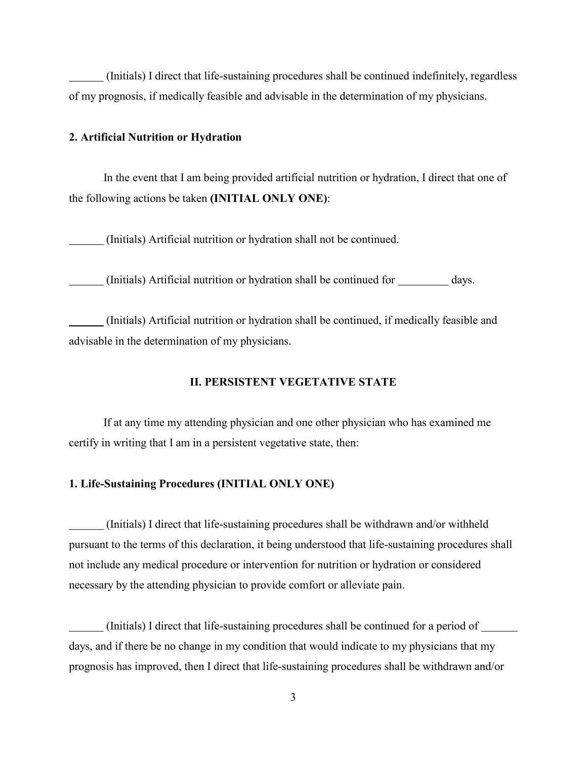(Initials) I direct that life-sustaining procedures shall be continued indefinitely, regardless of my prognosis, if medically feasible and advisable in the determination of my physicians.

## **2. Artificial Nutrition or Hydration**

In the event that I am being provided artificial nutrition or hydration, I direct that one of the following actions be taken **(INITIAL ONLY ONE)**:

(Initials) Artificial nutrition or hydration shall not be continued.

(Initials) Artificial nutrition or hydration shall be continued for days.

 (Initials) Artificial nutrition or hydration shall be continued, if medically feasible and advisable in the determination of my physicians.

## **II. PERSISTENT VEGETATIVE STATE**

If at any time my attending physician and one other physician who has examined me certify in writing that I am in a persistent vegetative state, then:

#### **1. Life-Sustaining Procedures (INITIAL ONLY ONE)**

 (Initials) I direct that life-sustaining procedures shall be withdrawn and/or withheld pursuant to the terms of this declaration, it being understood that life-sustaining procedures shall not include any medical procedure or intervention for nutrition or hydration or considered necessary by the attending physician to provide comfort or alleviate pain.

 (Initials) I direct that life-sustaining procedures shall be continued for a period of days, and if there be no change in my condition that would indicate to my physicians that my prognosis has improved, then I direct that life-sustaining procedures shall be withdrawn and/or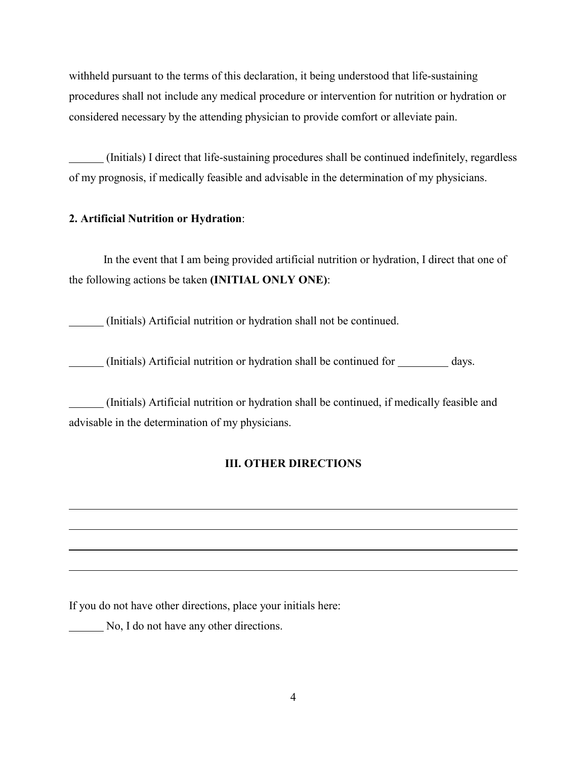withheld pursuant to the terms of this declaration, it being understood that life-sustaining procedures shall not include any medical procedure or intervention for nutrition or hydration or considered necessary by the attending physician to provide comfort or alleviate pain.

 (Initials) I direct that life-sustaining procedures shall be continued indefinitely, regardless of my prognosis, if medically feasible and advisable in the determination of my physicians.

## **2. Artificial Nutrition or Hydration**:

In the event that I am being provided artificial nutrition or hydration, I direct that one of the following actions be taken **(INITIAL ONLY ONE)**:

(Initials) Artificial nutrition or hydration shall not be continued.

(Initials) Artificial nutrition or hydration shall be continued for days.

 (Initials) Artificial nutrition or hydration shall be continued, if medically feasible and advisable in the determination of my physicians.

## **III. OTHER DIRECTIONS**

If you do not have other directions, place your initials here:

No, I do not have any other directions.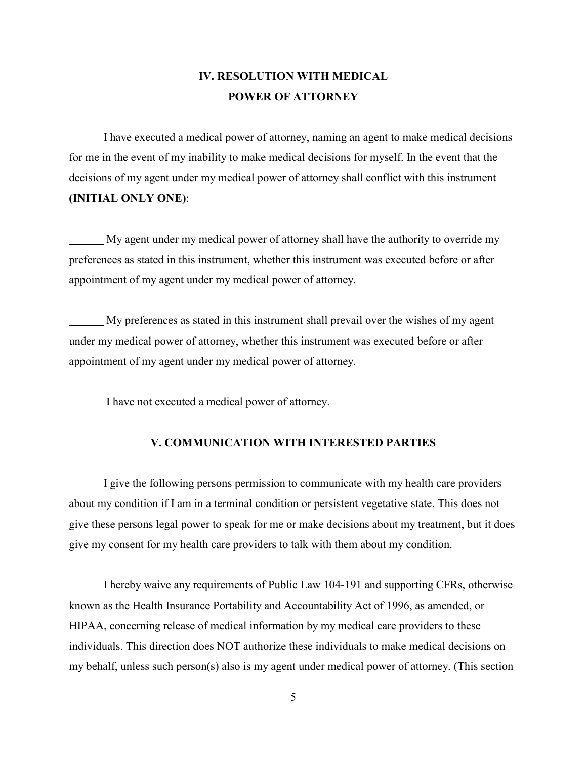## **IV. RESOLUTION WITH MEDICAL POWER OF ATTORNEY**

I have executed a medical power of attorney, naming an agent to make medical decisions for me in the event of my inability to make medical decisions for myself. In the event that the decisions of my agent under my medical power of attorney shall conflict with this instrument **(INITIAL ONLY ONE)**:

 My agent under my medical power of attorney shall have the authority to override my preferences as stated in this instrument, whether this instrument was executed before or after appointment of my agent under my medical power of attorney.

 My preferences as stated in this instrument shall prevail over the wishes of my agent under my medical power of attorney, whether this instrument was executed before or after appointment of my agent under my medical power of attorney.

I have not executed a medical power of attorney.

## **V. COMMUNICATION WITH INTERESTED PARTIES**

I give the following persons permission to communicate with my health care providers about my condition if I am in a terminal condition or persistent vegetative state. This does not give these persons legal power to speak for me or make decisions about my treatment, but it does give my consent for my health care providers to talk with them about my condition.

I hereby waive any requirements of Public Law 104-191 and supporting CFRs, otherwise known as the Health Insurance Portability and Accountability Act of 1996, as amended, or HIPAA, concerning release of medical information by my medical care providers to these individuals. This direction does NOT authorize these individuals to make medical decisions on my behalf, unless such person(s) also is my agent under medical power of attorney. (This section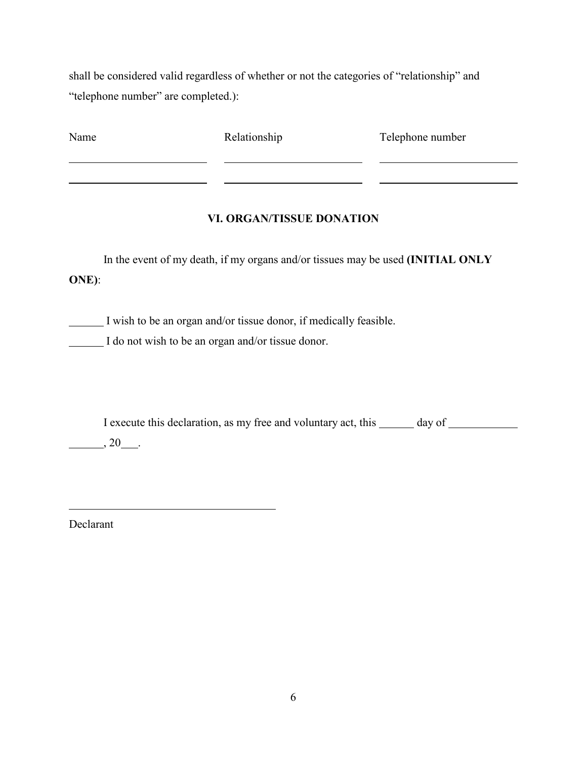shall be considered valid regardless of whether or not the categories of "relationship" and "telephone number" are completed.):

| Name | Relationship | Telephone number |
|------|--------------|------------------|
|      |              |                  |

## **VI. ORGAN/TISSUE DONATION**

In the event of my death, if my organs and/or tissues may be used **(INITIAL ONLY ONE)**:

I wish to be an organ and/or tissue donor, if medically feasible.

I do not wish to be an organ and/or tissue donor.

I execute this declaration, as my free and voluntary act, this \_\_\_\_\_\_ day of \_\_\_\_\_\_\_\_\_

 $\frac{1}{20}$ , 20

Declarant